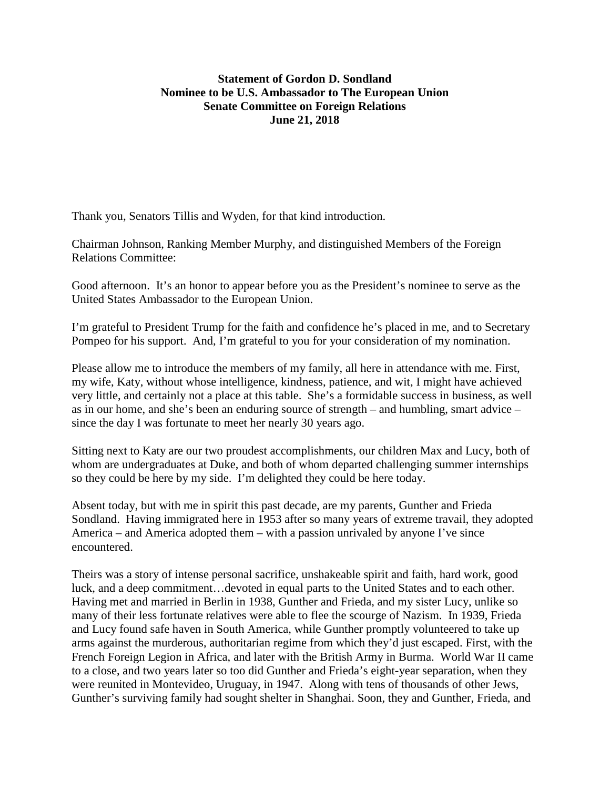## **Statement of Gordon D. Sondland Nominee to be U.S. Ambassador to The European Union Senate Committee on Foreign Relations June 21, 2018**

Thank you, Senators Tillis and Wyden, for that kind introduction.

Chairman Johnson, Ranking Member Murphy, and distinguished Members of the Foreign Relations Committee:

Good afternoon. It's an honor to appear before you as the President's nominee to serve as the United States Ambassador to the European Union.

I'm grateful to President Trump for the faith and confidence he's placed in me, and to Secretary Pompeo for his support. And, I'm grateful to you for your consideration of my nomination.

Please allow me to introduce the members of my family, all here in attendance with me. First, my wife, Katy, without whose intelligence, kindness, patience, and wit, I might have achieved very little, and certainly not a place at this table. She's a formidable success in business, as well as in our home, and she's been an enduring source of strength – and humbling, smart advice – since the day I was fortunate to meet her nearly 30 years ago.

Sitting next to Katy are our two proudest accomplishments, our children Max and Lucy, both of whom are undergraduates at Duke, and both of whom departed challenging summer internships so they could be here by my side. I'm delighted they could be here today.

Absent today, but with me in spirit this past decade, are my parents, Gunther and Frieda Sondland. Having immigrated here in 1953 after so many years of extreme travail, they adopted America – and America adopted them – with a passion unrivaled by anyone I've since encountered.

Theirs was a story of intense personal sacrifice, unshakeable spirit and faith, hard work, good luck, and a deep commitment…devoted in equal parts to the United States and to each other. Having met and married in Berlin in 1938, Gunther and Frieda, and my sister Lucy, unlike so many of their less fortunate relatives were able to flee the scourge of Nazism. In 1939, Frieda and Lucy found safe haven in South America, while Gunther promptly volunteered to take up arms against the murderous, authoritarian regime from which they'd just escaped. First, with the French Foreign Legion in Africa, and later with the British Army in Burma. World War II came to a close, and two years later so too did Gunther and Frieda's eight-year separation, when they were reunited in Montevideo, Uruguay, in 1947. Along with tens of thousands of other Jews, Gunther's surviving family had sought shelter in Shanghai. Soon, they and Gunther, Frieda, and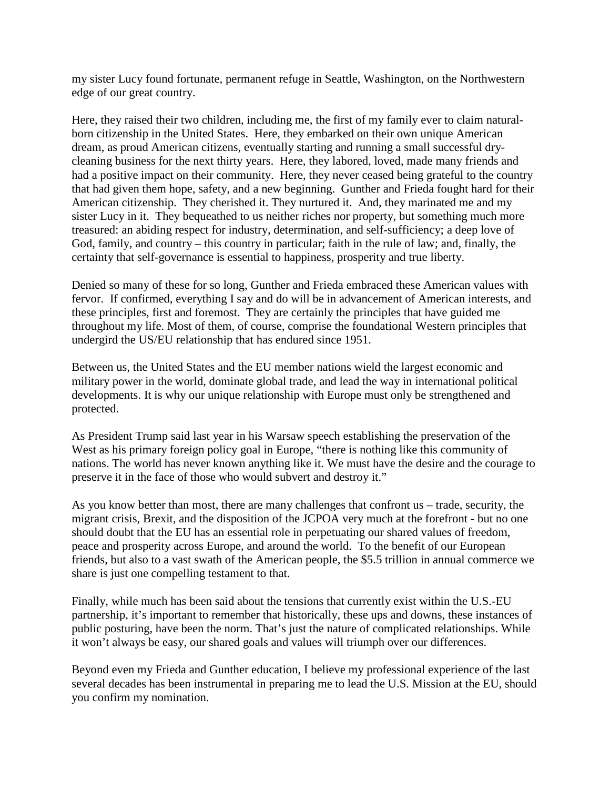my sister Lucy found fortunate, permanent refuge in Seattle, Washington, on the Northwestern edge of our great country.

Here, they raised their two children, including me, the first of my family ever to claim naturalborn citizenship in the United States. Here, they embarked on their own unique American dream, as proud American citizens, eventually starting and running a small successful drycleaning business for the next thirty years. Here, they labored, loved, made many friends and had a positive impact on their community. Here, they never ceased being grateful to the country that had given them hope, safety, and a new beginning. Gunther and Frieda fought hard for their American citizenship. They cherished it. They nurtured it. And, they marinated me and my sister Lucy in it. They bequeathed to us neither riches nor property, but something much more treasured: an abiding respect for industry, determination, and self-sufficiency; a deep love of God, family, and country – this country in particular; faith in the rule of law; and, finally, the certainty that self-governance is essential to happiness, prosperity and true liberty.

Denied so many of these for so long, Gunther and Frieda embraced these American values with fervor. If confirmed, everything I say and do will be in advancement of American interests, and these principles, first and foremost. They are certainly the principles that have guided me throughout my life. Most of them, of course, comprise the foundational Western principles that undergird the US/EU relationship that has endured since 1951.

Between us, the United States and the EU member nations wield the largest economic and military power in the world, dominate global trade, and lead the way in international political developments. It is why our unique relationship with Europe must only be strengthened and protected.

As President Trump said last year in his Warsaw speech establishing the preservation of the West as his primary foreign policy goal in Europe, "there is nothing like this community of nations. The world has never known anything like it. We must have the desire and the courage to preserve it in the face of those who would subvert and destroy it."

As you know better than most, there are many challenges that confront us – trade, security, the migrant crisis, Brexit, and the disposition of the JCPOA very much at the forefront - but no one should doubt that the EU has an essential role in perpetuating our shared values of freedom, peace and prosperity across Europe, and around the world. To the benefit of our European friends, but also to a vast swath of the American people, the \$5.5 trillion in annual commerce we share is just one compelling testament to that.

Finally, while much has been said about the tensions that currently exist within the U.S.-EU partnership, it's important to remember that historically, these ups and downs, these instances of public posturing, have been the norm. That's just the nature of complicated relationships. While it won't always be easy, our shared goals and values will triumph over our differences.

Beyond even my Frieda and Gunther education, I believe my professional experience of the last several decades has been instrumental in preparing me to lead the U.S. Mission at the EU, should you confirm my nomination.